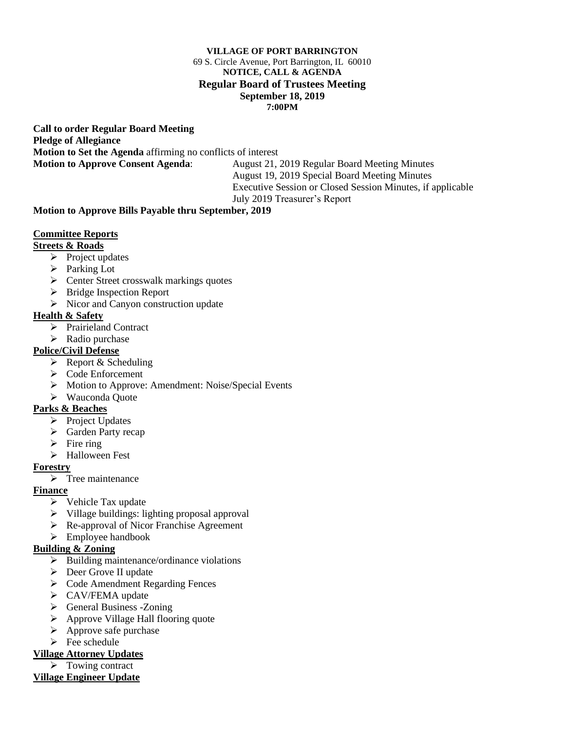#### **VILLAGE OF PORT BARRINGTON** 69 S. Circle Avenue, Port Barrington, IL 60010 **NOTICE, CALL & AGENDA Regular Board of Trustees Meeting September 18, 2019 7:00PM**

**Call to order Regular Board Meeting Pledge of Allegiance Motion to Set the Agenda** affirming no conflicts of interest **Motion to Approve Consent Agenda**: August 21, 2019 Regular Board Meeting Minutes

August 19, 2019 Special Board Meeting Minutes Executive Session or Closed Session Minutes, if applicable July 2019 Treasurer's Report

### **Motion to Approve Bills Payable thru September, 2019**

### **Committee Reports**

# **Streets & Roads**

- ➢ Project updates
- ➢ Parking Lot
- ➢ Center Street crosswalk markings quotes
- ➢ Bridge Inspection Report
- ➢ Nicor and Canyon construction update

# **Health & Safety**

- ➢ Prairieland Contract
- $\triangleright$  Radio purchase

# **Police/Civil Defense**

- $\triangleright$  Report & Scheduling
- ➢ Code Enforcement
- ➢ Motion to Approve: Amendment: Noise/Special Events
- ➢ Wauconda Quote

# **Parks & Beaches**

- ➢ Project Updates
- ➢ Garden Party recap
- $\triangleright$  Fire ring
- ➢ Halloween Fest

# **Forestry**

 $\triangleright$  Tree maintenance

# **Finance**

- ➢ Vehicle Tax update
- ➢ Village buildings: lighting proposal approval
- ➢ Re-approval of Nicor Franchise Agreement
- ➢ Employee handbook

# **Building & Zoning**

- ➢ Building maintenance/ordinance violations
- ➢ Deer Grove II update
- ➢ Code Amendment Regarding Fences
- ➢ CAV/FEMA update
- ➢ General Business -Zoning
- ➢ Approve Village Hall flooring quote
- $\triangleright$  Approve safe purchase
- $\triangleright$  Fee schedule

# **Village Attorney Updates**

 $\triangleright$  Towing contract **Village Engineer Update**